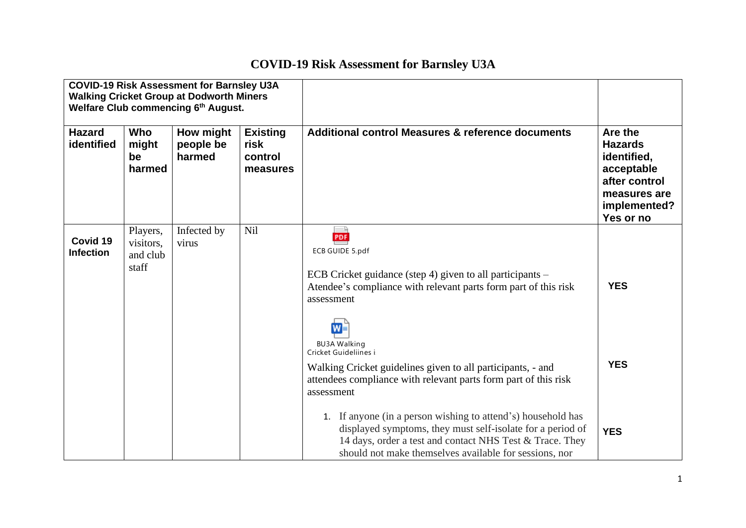## **COVID-19 Risk Assessment for Barnsley U3A**

| <b>COVID-19 Risk Assessment for Barnsley U3A</b><br><b>Walking Cricket Group at Dodworth Miners</b><br>Welfare Club commencing 6th August. |                                            |                                  |                                                |                                                                                                                                                                                                                                                  |                                                                                                                      |
|--------------------------------------------------------------------------------------------------------------------------------------------|--------------------------------------------|----------------------------------|------------------------------------------------|--------------------------------------------------------------------------------------------------------------------------------------------------------------------------------------------------------------------------------------------------|----------------------------------------------------------------------------------------------------------------------|
| <b>Hazard</b><br>identified                                                                                                                | Who<br>might<br>be<br>harmed               | How might<br>people be<br>harmed | <b>Existing</b><br>risk<br>control<br>measures | <b>Additional control Measures &amp; reference documents</b>                                                                                                                                                                                     | Are the<br><b>Hazards</b><br>identified,<br>acceptable<br>after control<br>measures are<br>implemented?<br>Yes or no |
| Covid 19<br><b>Infection</b>                                                                                                               | Players,<br>visitors,<br>and club<br>staff | Infected by<br>virus             | Nil                                            | PDF<br><b>ECB GUIDE 5.pdf</b><br>ECB Cricket guidance (step 4) given to all participants –<br>Atendee's compliance with relevant parts form part of this risk<br>assessment<br>$W =$                                                             | <b>YES</b>                                                                                                           |
|                                                                                                                                            |                                            |                                  |                                                | <b>BU3A Walking</b><br>Cricket Guideliines i<br>Walking Cricket guidelines given to all participants, - and<br>attendees compliance with relevant parts form part of this risk<br>assessment                                                     | <b>YES</b>                                                                                                           |
|                                                                                                                                            |                                            |                                  |                                                | 1. If anyone (in a person wishing to attend's) household has<br>displayed symptoms, they must self-isolate for a period of<br>14 days, order a test and contact NHS Test & Trace. They<br>should not make themselves available for sessions, nor | <b>YES</b>                                                                                                           |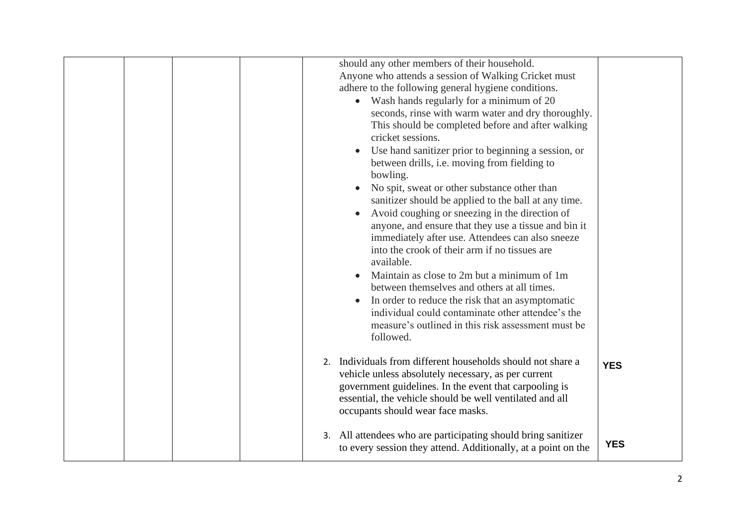| should any other members of their household.<br>Anyone who attends a session of Walking Cricket must<br>adhere to the following general hygiene conditions.<br>• Wash hands regularly for a minimum of 20<br>seconds, rinse with warm water and dry thoroughly.<br>This should be completed before and after walking<br>cricket sessions.<br>Use hand sanitizer prior to beginning a session, or<br>between drills, i.e. moving from fielding to<br>bowling.<br>No spit, sweat or other substance other than<br>sanitizer should be applied to the ball at any time.<br>Avoid coughing or sneezing in the direction of<br>anyone, and ensure that they use a tissue and bin it<br>immediately after use. Attendees can also sneeze<br>into the crook of their arm if no tissues are<br>available.<br>Maintain as close to 2m but a minimum of 1m<br>between themselves and others at all times.<br>In order to reduce the risk that an asymptomatic<br>individual could contaminate other attendee's the<br>measure's outlined in this risk assessment must be<br>followed.<br>2. Individuals from different households should not share a<br>vehicle unless absolutely necessary, as per current<br>government guidelines. In the event that carpooling is<br>essential, the vehicle should be well ventilated and all | <b>YES</b> |
|-------------------------------------------------------------------------------------------------------------------------------------------------------------------------------------------------------------------------------------------------------------------------------------------------------------------------------------------------------------------------------------------------------------------------------------------------------------------------------------------------------------------------------------------------------------------------------------------------------------------------------------------------------------------------------------------------------------------------------------------------------------------------------------------------------------------------------------------------------------------------------------------------------------------------------------------------------------------------------------------------------------------------------------------------------------------------------------------------------------------------------------------------------------------------------------------------------------------------------------------------------------------------------------------------------------------------|------------|
| occupants should wear face masks.<br>3. All attendees who are participating should bring sanitizer<br>to every session they attend. Additionally, at a point on the                                                                                                                                                                                                                                                                                                                                                                                                                                                                                                                                                                                                                                                                                                                                                                                                                                                                                                                                                                                                                                                                                                                                                     | <b>YES</b> |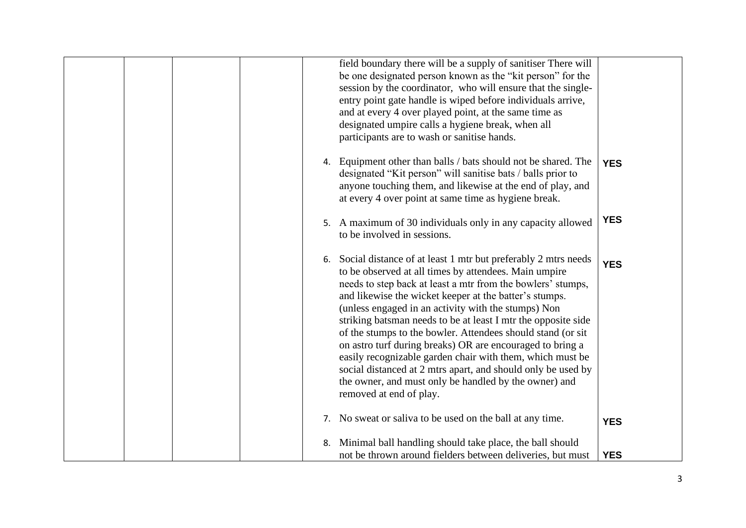|  |    | field boundary there will be a supply of sanitiser There will<br>be one designated person known as the "kit person" for the<br>session by the coordinator, who will ensure that the single-<br>entry point gate handle is wiped before individuals arrive,<br>and at every 4 over played point, at the same time as<br>designated umpire calls a hygiene break, when all<br>participants are to wash or sanitise hands.                                                                                                                                                                                                                                                                                                 |            |
|--|----|-------------------------------------------------------------------------------------------------------------------------------------------------------------------------------------------------------------------------------------------------------------------------------------------------------------------------------------------------------------------------------------------------------------------------------------------------------------------------------------------------------------------------------------------------------------------------------------------------------------------------------------------------------------------------------------------------------------------------|------------|
|  |    | 4. Equipment other than balls / bats should not be shared. The<br>designated "Kit person" will sanitise bats / balls prior to<br>anyone touching them, and likewise at the end of play, and<br>at every 4 over point at same time as hygiene break.                                                                                                                                                                                                                                                                                                                                                                                                                                                                     | <b>YES</b> |
|  |    | 5. A maximum of 30 individuals only in any capacity allowed<br>to be involved in sessions.                                                                                                                                                                                                                                                                                                                                                                                                                                                                                                                                                                                                                              | <b>YES</b> |
|  |    | 6. Social distance of at least 1 mtr but preferably 2 mtrs needs<br>to be observed at all times by attendees. Main umpire<br>needs to step back at least a mtr from the bowlers' stumps,<br>and likewise the wicket keeper at the batter's stumps.<br>(unless engaged in an activity with the stumps) Non<br>striking batsman needs to be at least I mtr the opposite side<br>of the stumps to the bowler. Attendees should stand (or sit<br>on astro turf during breaks) OR are encouraged to bring a<br>easily recognizable garden chair with them, which must be<br>social distanced at 2 mtrs apart, and should only be used by<br>the owner, and must only be handled by the owner) and<br>removed at end of play. | <b>YES</b> |
|  |    | 7. No sweat or saliva to be used on the ball at any time.                                                                                                                                                                                                                                                                                                                                                                                                                                                                                                                                                                                                                                                               | <b>YES</b> |
|  | 8. | Minimal ball handling should take place, the ball should<br>not be thrown around fielders between deliveries, but must                                                                                                                                                                                                                                                                                                                                                                                                                                                                                                                                                                                                  | <b>YES</b> |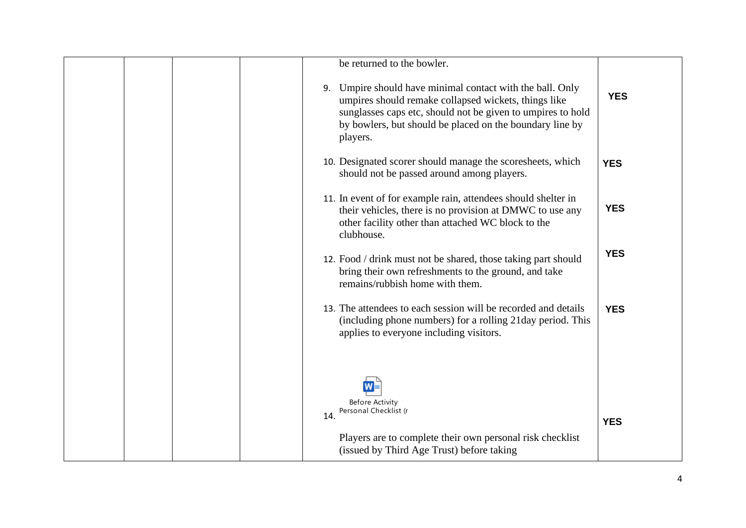| be returned to the bowler.                                                                                                                                                                                                                               |            |
|----------------------------------------------------------------------------------------------------------------------------------------------------------------------------------------------------------------------------------------------------------|------------|
| 9. Umpire should have minimal contact with the ball. Only<br>umpires should remake collapsed wickets, things like<br>sunglasses caps etc, should not be given to umpires to hold<br>by bowlers, but should be placed on the boundary line by<br>players. | <b>YES</b> |
| 10. Designated scorer should manage the scoresheets, which<br>should not be passed around among players.                                                                                                                                                 | <b>YES</b> |
| 11. In event of for example rain, attendees should shelter in<br>their vehicles, there is no provision at DMWC to use any<br>other facility other than attached WC block to the<br>clubhouse.                                                            | <b>YES</b> |
| 12. Food / drink must not be shared, those taking part should<br>bring their own refreshments to the ground, and take<br>remains/rubbish home with them.                                                                                                 | <b>YES</b> |
| 13. The attendees to each session will be recorded and details<br>(including phone numbers) for a rolling 21day period. This<br>applies to everyone including visitors.                                                                                  | <b>YES</b> |
| <b>Before Activity</b><br>Personal Checklist (r                                                                                                                                                                                                          |            |
| 14.<br>Players are to complete their own personal risk checklist<br>(issued by Third Age Trust) before taking                                                                                                                                            | <b>YES</b> |